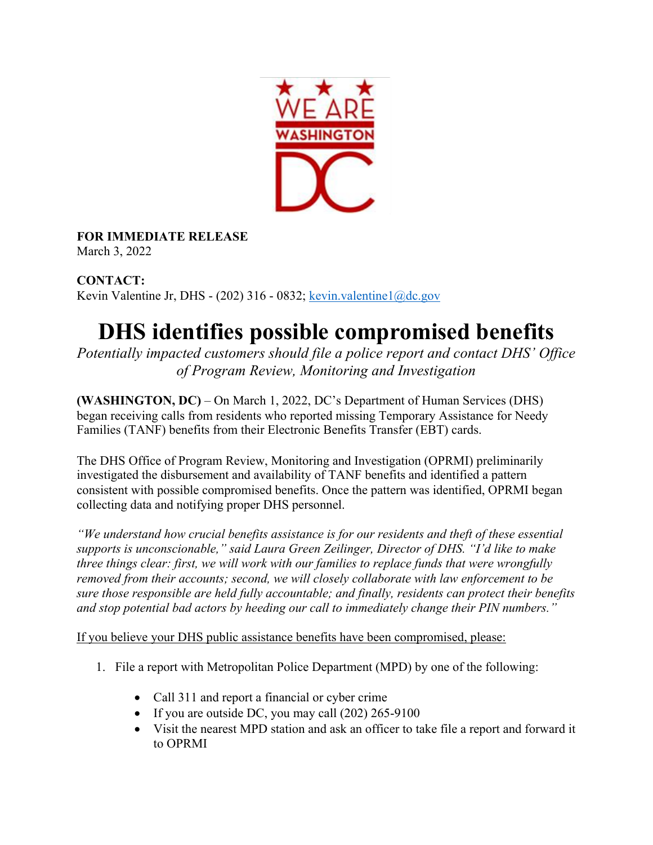

**FOR IMMEDIATE RELEASE**

March 3, 2022

**CONTACT:** Kevin Valentine Jr, DHS - (202) 316 - 0832; kevin.valentine1@dc.gov

## **DHS identifies possible compromised benefits**

*Potentially impacted customers should file a police report and contact DHS' Office of Program Review, Monitoring and Investigation* 

**(WASHINGTON, DC)** – On March 1, 2022, DC's Department of Human Services (DHS) began receiving calls from residents who reported missing Temporary Assistance for Needy Families (TANF) benefits from their Electronic Benefits Transfer (EBT) cards.

The DHS Office of Program Review, Monitoring and Investigation (OPRMI) preliminarily investigated the disbursement and availability of TANF benefits and identified a pattern consistent with possible compromised benefits. Once the pattern was identified, OPRMI began collecting data and notifying proper DHS personnel.

*"We understand how crucial benefits assistance is for our residents and theft of these essential supports is unconscionable," said Laura Green Zeilinger, Director of DHS. "I'd like to make three things clear: first, we will work with our families to replace funds that were wrongfully removed from their accounts; second, we will closely collaborate with law enforcement to be sure those responsible are held fully accountable; and finally, residents can protect their benefits and stop potential bad actors by heeding our call to immediately change their PIN numbers."*

If you believe your DHS public assistance benefits have been compromised, please:

- 1. File a report with Metropolitan Police Department (MPD) by one of the following:
	- Call 311 and report a financial or cyber crime
	- If you are outside DC, you may call (202) 265-9100
	- Visit the nearest MPD station and ask an officer to take file a report and forward it to OPRMI